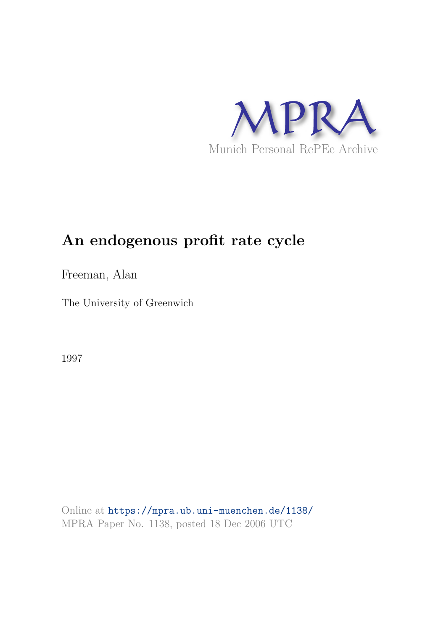

# **An endogenous profit rate cycle**

Freeman, Alan

The University of Greenwich

1997

Online at https://mpra.ub.uni-muenchen.de/1138/ MPRA Paper No. 1138, posted 18 Dec 2006 UTC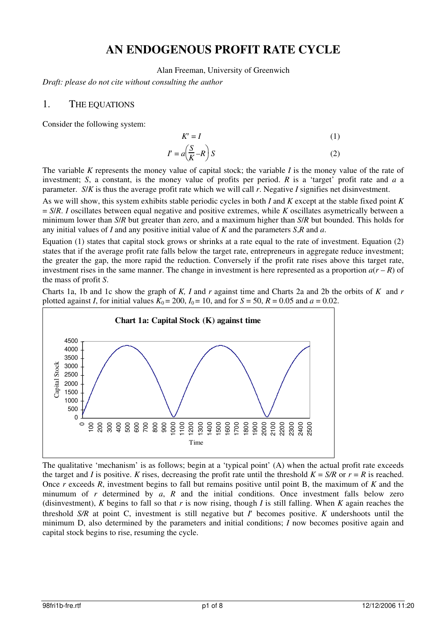# **AN ENDOGENOUS PROFIT RATE CYCLE**

Alan Freeman, University of Greenwich

*Draft: please do not cite without consulting the author* 

#### 1. THE EQUATIONS

Consider the following system:

$$
K' = I
$$
\n
$$
I' = a\left(\frac{S}{K} - R\right)S
$$
\n(1)

The variable *K* represents the money value of capital stock; the variable *I* is the money value of the rate of investment; *S*, a constant, is the money value of profits per period. *R* is a 'target' profit rate and *a* a parameter. *S*/*K* is thus the average profit rate which we will call *r*. Negative *I* signifies net disinvestment.

⎠

As we will show, this system exhibits stable periodic cycles in both *I* and *K* except at the stable fixed point *K*  = *S*/*R*. *I* oscillates between equal negative and positive extremes, while *K* oscillates asymetrically between a minimum lower than *S*/*R* but greater than zero, and a maximum higher than *S*/*R* but bounded. This holds for any initial values of *I* and any positive initial value of *K* and the parameters *S*,*R* and *a*.

Equation (1) states that capital stock grows or shrinks at a rate equal to the rate of investment. Equation (2) states that if the average profit rate falls below the target rate, entrepreneurs in aggregate reduce investment; the greater the gap, the more rapid the reduction. Conversely if the profit rate rises above this target rate, investment rises in the same manner. The change in investment is here represented as a proportion  $a(r - R)$  of the mass of profit *S*.

Charts 1a, 1b and 1c show the graph of *K, I* and *r* against time and Charts 2a and 2b the orbits of *K* and *r*  plotted against *I*, for initial values  $K_0 = 200$ ,  $I_0 = 10$ , and for  $S = 50$ ,  $R = 0.05$  and  $a = 0.02$ .



The qualitative 'mechanism' is as follows; begin at a 'typical point' (A) when the actual profit rate exceeds the target and *I* is positive. *K* rises, decreasing the profit rate until the threshold  $K = S/R$  or  $r = R$  is reached. Once *r* exceeds *R*, investment begins to fall but remains positive until point B, the maximum of *K* and the minumum of *r* determined by *a*, *R* and the initial conditions. Once investment falls below zero (disinvestment), *K* begins to fall so that *r* is now rising, though *I* is still falling. When *K* again reaches the threshold *S/R* at point C, investment is still negative but *I*′ becomes positive. *K* undershoots until the minimum D, also determined by the parameters and initial conditions; *I* now becomes positive again and capital stock begins to rise, resuming the cycle.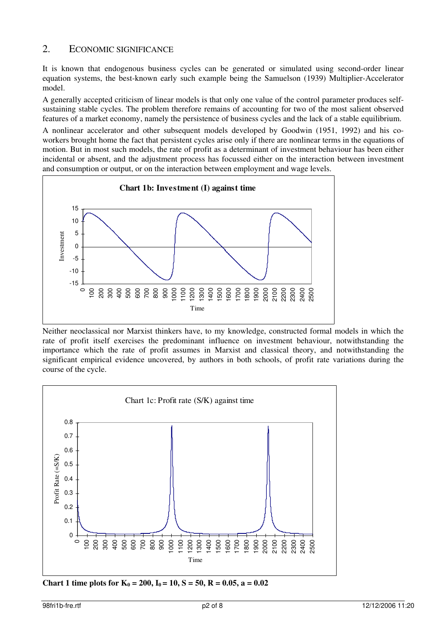### 2. ECONOMIC SIGNIFICANCE

It is known that endogenous business cycles can be generated or simulated using second-order linear equation systems, the best-known early such example being the Samuelson (1939) Multiplier-Accelerator model.

A generally accepted criticism of linear models is that only one value of the control parameter produces selfsustaining stable cycles. The problem therefore remains of accounting for two of the most salient observed features of a market economy, namely the persistence of business cycles and the lack of a stable equilibrium.

A nonlinear accelerator and other subsequent models developed by Goodwin (1951, 1992) and his coworkers brought home the fact that persistent cycles arise only if there are nonlinear terms in the equations of motion. But in most such models, the rate of profit as a determinant of investment behaviour has been either incidental or absent, and the adjustment process has focussed either on the interaction between investment and consumption or output, or on the interaction between employment and wage levels.



Neither neoclassical nor Marxist thinkers have, to my knowledge, constructed formal models in which the rate of profit itself exercises the predominant influence on investment behaviour, notwithstanding the importance which the rate of profit assumes in Marxist and classical theory, and notwithstanding the significant empirical evidence uncovered, by authors in both schools, of profit rate variations during the course of the cycle.



**Chart 1 time plots for**  $K_0 = 200$ **,**  $I_0 = 10$ **,**  $S = 50$ **,**  $R = 0.05$ **,**  $a = 0.02$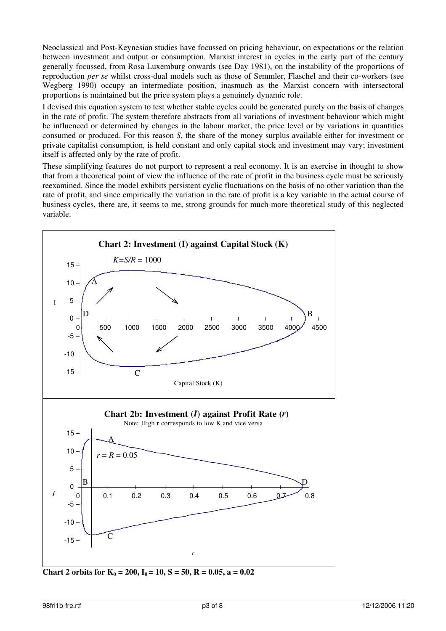Neoclassical and Post-Keynesian studies have focussed on pricing behaviour, on expectations or the relation between investment and output or consumption. Marxist interest in cycles in the early part of the century generally focussed, from Rosa Luxemburg onwards (see Day 1981), on the instability of the proportions of reproduction *per se* whilst cross-dual models such as those of Semmler, Flaschel and their co-workers (see Wegberg 1990) occupy an intermediate position, inasmuch as the Marxist concern with intersectoral proportions is maintained but the price system plays a genuinely dynamic role.

I devised this equation system to test whether stable cycles could be generated purely on the basis of changes in the rate of profit. The system therefore abstracts from all variations of investment behaviour which might be influenced or determined by changes in the labour market, the price level or by variations in quantities consumed or produced. For this reason *S*, the share of the money surplus available either for investment or private capitalist consumption, is held constant and only capital stock and investment may vary; investment itself is affected only by the rate of profit.

These simplifying features do not purport to represent a real economy. It is an exercise in thought to show that from a theoretical point of view the influence of the rate of profit in the business cycle must be seriously reexamined. Since the model exhibits persistent cyclic fluctuations on the basis of no other variation than the rate of profit, and since empirically the variation in the rate of profit is a key variable in the actual course of business cycles, there are, it seems to me, strong grounds for much more theoretical study of this neglected variable.



**Chart 2 orbits for**  $K_0 = 200$ **,**  $I_0 = 10$ **,**  $S = 50$ **,**  $R = 0.05$ **,**  $a = 0.02$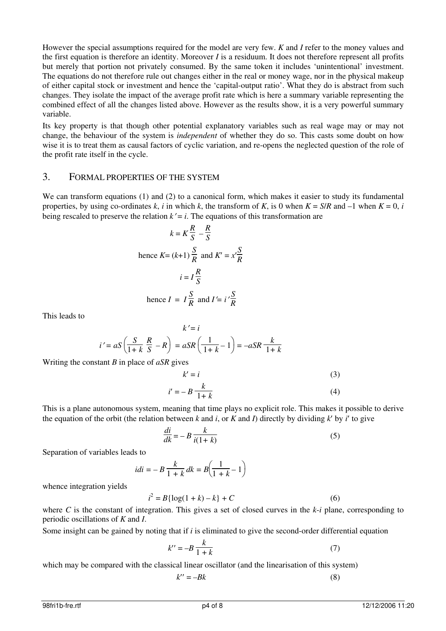However the special assumptions required for the model are very few. *K* and *I* refer to the money values and the first equation is therefore an identity. Moreover *I* is a residuum. It does not therefore represent all profits but merely that portion not privately consumed. By the same token it includes 'unintentional' investment. The equations do not therefore rule out changes either in the real or money wage, nor in the physical makeup of either capital stock or investment and hence the 'capital-output ratio'. What they do is abstract from such changes. They isolate the impact of the average profit rate which is here a summary variable representing the combined effect of all the changes listed above. However as the results show, it is a very powerful summary variable.

Its key property is that though other potential explanatory variables such as real wage may or may not change, the behaviour of the system is *independent* of whether they do so. This casts some doubt on how wise it is to treat them as causal factors of cyclic variation, and re-opens the neglected question of the role of the profit rate itself in the cycle.

#### 3. FORMAL PROPERTIES OF THE SYSTEM

We can transform equations (1) and (2) to a canonical form, which makes it easier to study its fundamental properties, by using co-ordinates  $k$ ,  $i$  in which  $k$ , the transform of  $K$ , is 0 when  $K = S/R$  and  $-1$  when  $K = 0$ ,  $i$ being rescaled to preserve the relation  $k' = i$ . The equations of this transformation are

$$
k = K\frac{R}{S} - \frac{R}{S}
$$
  
hence  $K = (k+1)\frac{S}{R}$  and  $K' = x'\frac{S}{R}$   
 $i = I\frac{R}{S}$   
hence  $I = I\frac{S}{R}$  and  $I' = i'\frac{S}{R}$ 

This leads to

$$
k'=i
$$

$$
i'=aS\left(\frac{S}{1+k}\frac{R}{S}-R\right)=aSR\left(\frac{1}{1+k}-1\right)=-aSR\frac{k}{1+k}
$$

Writing the constant *B* in place of *aSR* gives

$$
k' = i \tag{3}
$$

$$
i' = -B \frac{k}{1+k} \tag{4}
$$

This is a plane autonomous system, meaning that time plays no explicit role. This makes it possible to derive the equation of the orbit (the relation between  $k$  and  $i$ , or  $K$  and  $I$ ) directly by dividing  $k'$  by  $i'$  to give

$$
\frac{di}{dk} = -B \frac{k}{i(1+k)}\tag{5}
$$

Separation of variables leads to

$$
idi = -B\frac{k}{1+k}dk = B\left(\frac{1}{1+k} - 1\right)
$$

whence integration yields

$$
i^2 = B\{\log(1+k) - k\} + C
$$
 (6)

where *C* is the constant of integration. This gives a set of closed curves in the *k*-*i* plane, corresponding to periodic oscillations of *K* and *I*.

Some insight can be gained by noting that if *i* is eliminated to give the second-order differential equation

$$
k^{\prime\prime} = -B \frac{k}{1+k} \tag{7}
$$

which may be compared with the classical linear oscillator (and the linearisation of this system)

$$
k^{\prime\prime} = -Bk\tag{8}
$$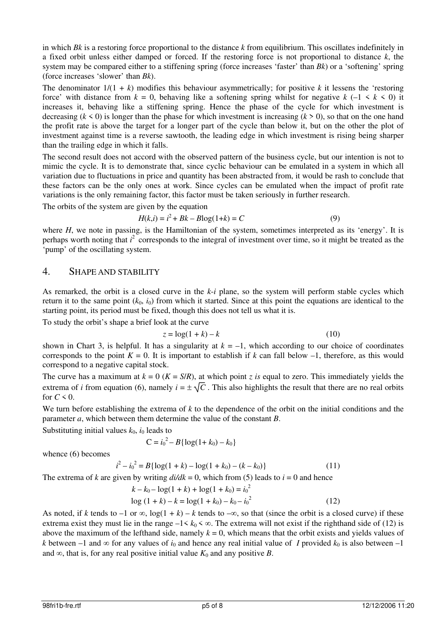in which *Bk* is a restoring force proportional to the distance *k* from equilibrium. This oscillates indefinitely in a fixed orbit unless either damped or forced. If the restoring force is not proportional to distance *k*, the system may be compared either to a stiffening spring (force increases 'faster' than *Bk*) or a 'softening' spring (force increases 'slower' than *Bk*).

The denominator  $1/(1 + k)$  modifies this behaviour asymmetrically; for positive k it lessens the 'restoring' force' with distance from  $k = 0$ , behaving like a softening spring whilst for negative  $k$  (-1  $\leq k \leq 0$ ) it increases it, behaving like a stiffening spring. Hence the phase of the cycle for which investment is decreasing  $(k \le 0)$  is longer than the phase for which investment is increasing  $(k \ge 0)$ , so that on the one hand the profit rate is above the target for a longer part of the cycle than below it, but on the other the plot of investment against time is a reverse sawtooth, the leading edge in which investment is rising being sharper than the trailing edge in which it falls.

The second result does not accord with the observed pattern of the business cycle, but our intention is not to mimic the cycle. It is to demonstrate that, since cyclic behaviour can be emulated in a system in which all variation due to fluctuations in price and quantity has been abstracted from, it would be rash to conclude that these factors can be the only ones at work. Since cycles can be emulated when the impact of profit rate variations is the only remaining factor, this factor must be taken seriously in further research.

The orbits of the system are given by the equation

$$
H(k,i) = i^2 + Bk - B\log(1+k) = C
$$
 (9)

where *H*, we note in passing, is the Hamiltonian of the system, sometimes interpreted as its 'energy'. It is perhaps worth noting that *i*<sup>2</sup> corresponds to the integral of investment over time, so it might be treated as the 'pump' of the oscillating system.

#### 4. SHAPE AND STABILITY

As remarked, the orbit is a closed curve in the *k*-*i* plane, so the system will perform stable cycles which return it to the same point  $(k_0, i_0)$  from which it started. Since at this point the equations are identical to the starting point, its period must be fixed, though this does not tell us what it is.

To study the orbit's shape a brief look at the curve

$$
z = \log(1 + k) - k \tag{10}
$$

shown in Chart 3, is helpful. It has a singularity at  $k = -1$ , which according to our choice of coordinates corresponds to the point  $K = 0$ . It is important to establish if k can fall below  $-1$ , therefore, as this would correspond to a negative capital stock.

The curve has a maximum at  $k = 0$  ( $K = S/R$ ), at which point *z* is equal to zero. This immediately yields the extrema of *i* from equation (6), namely  $i = \pm \sqrt{C}$ . This also highlights the result that there are no real orbits for  $C \leq 0$ .

We turn before establishing the extrema of *k* to the dependence of the orbit on the initial conditions and the parameter *a*, which between them determine the value of the constant *B*.

Substituting initial values  $k_0$ ,  $i_0$  leads to

$$
C = i_0^2 - B\{\log(1 + k_0) - k_0\}
$$

whence (6) becomes

$$
i2 - i02 = B\{\log(1 + k) - \log(1 + k_0) - (k - k_0)\}\
$$
 (11)

The extrema of *k* are given by writing  $\frac{di}{dk} = 0$ , which from (5) leads to  $i = 0$  and hence

$$
k - k_0 - \log(1 + k) + \log(1 + k_0) = i_0^2
$$
  
log (1 + k) - k = log(1 + k\_0) - k\_0 - i\_0^2 (12)

As noted, if *k* tends to  $-1$  or  $\infty$ ,  $\log(1 + k) - k$  tends to  $-\infty$ , so that (since the orbit is a closed curve) if these extrema exist they must lie in the range  $-1 < k_0 < \infty$ . The extrema will not exist if the righthand side of (12) is above the maximum of the lefthand side, namely  $k = 0$ , which means that the orbit exists and yields values of *k* between –1 and  $\infty$  for any values of *i*<sub>0</sub> and hence any real initial value of *I* provided  $k_0$  is also between –1 and  $\infty$ , that is, for any real positive initial value  $K_0$  and any positive *B*.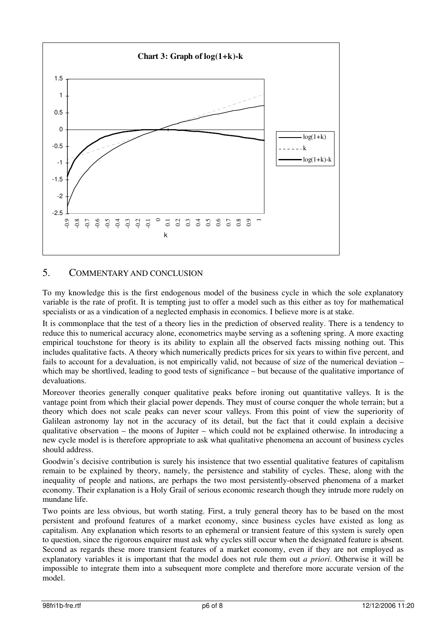

# 5. COMMENTARY AND CONCLUSION

To my knowledge this is the first endogenous model of the business cycle in which the sole explanatory variable is the rate of profit. It is tempting just to offer a model such as this either as toy for mathematical specialists or as a vindication of a neglected emphasis in economics. I believe more is at stake.

It is commonplace that the test of a theory lies in the prediction of observed reality. There is a tendency to reduce this to numerical accuracy alone, econometrics maybe serving as a softening spring. A more exacting empirical touchstone for theory is its ability to explain all the observed facts missing nothing out. This includes qualitative facts. A theory which numerically predicts prices for six years to within five percent, and fails to account for a devaluation, is not empirically valid, not because of size of the numerical deviation – which may be shortlived, leading to good tests of significance – but because of the qualitative importance of devaluations.

Moreover theories generally conquer qualitative peaks before ironing out quantitative valleys. It is the vantage point from which their glacial power depends. They must of course conquer the whole terrain; but a theory which does not scale peaks can never scour valleys. From this point of view the superiority of Galilean astronomy lay not in the accuracy of its detail, but the fact that it could explain a decisive qualitative observation – the moons of Jupiter – which could not be explained otherwise. In introducing a new cycle model is is therefore appropriate to ask what qualitative phenomena an account of business cycles should address.

Goodwin's decisive contribution is surely his insistence that two essential qualitative features of capitalism remain to be explained by theory, namely, the persistence and stability of cycles. These, along with the inequality of people and nations, are perhaps the two most persistently-observed phenomena of a market economy. Their explanation is a Holy Grail of serious economic research though they intrude more rudely on mundane life.

Two points are less obvious, but worth stating. First, a truly general theory has to be based on the most persistent and profound features of a market economy, since business cycles have existed as long as capitalism. Any explanation which resorts to an ephemeral or transient feature of this system is surely open to question, since the rigorous enquirer must ask why cycles still occur when the designated feature is absent. Second as regards these more transient features of a market economy, even if they are not employed as explanatory variables it is important that the model does not rule them out *a priori*. Otherwise it will be impossible to integrate them into a subsequent more complete and therefore more accurate version of the model.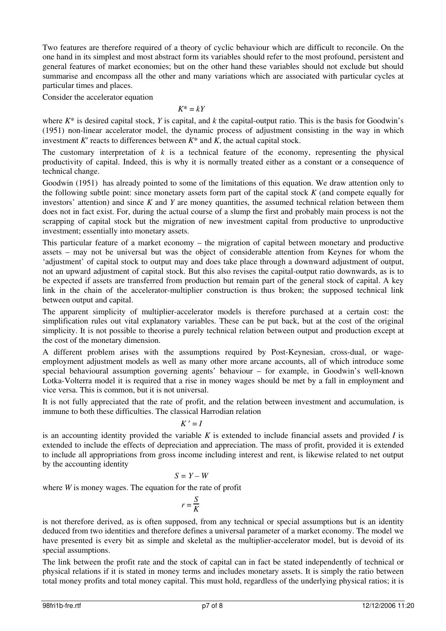Two features are therefore required of a theory of cyclic behaviour which are difficult to reconcile. On the one hand in its simplest and most abstract form its variables should refer to the most profound, persistent and general features of market economies; but on the other hand these variables should not exclude but should summarise and encompass all the other and many variations which are associated with particular cycles at particular times and places.

Consider the accelerator equation

#### $K^* = kY$

where  $K^*$  is desired capital stock, *Y* is capital, and *k* the capital-output ratio. This is the basis for Goodwin's (1951) non-linear accelerator model, the dynamic process of adjustment consisting in the way in which investment  $K'$  reacts to differences between  $K^*$  and  $K$ , the actual capital stock.

The customary interpretation of *k* is a technical feature of the economy, representing the physical productivity of capital. Indeed, this is why it is normally treated either as a constant or a consequence of technical change.

Goodwin (1951) has already pointed to some of the limitations of this equation. We draw attention only to the following subtle point: since monetary assets form part of the capital stock *K* (and compete equally for investors' attention) and since *K* and *Y* are money quantities, the assumed technical relation between them does not in fact exist. For, during the actual course of a slump the first and probably main process is not the scrapping of capital stock but the migration of new investment capital from productive to unproductive investment; essentially into monetary assets.

This particular feature of a market economy – the migration of capital between monetary and productive assets – may not be universal but was the object of considerable attention from Keynes for whom the 'adjustment' of capital stock to output may and does take place through a downward adjustment of output, not an upward adjustment of capital stock. But this also revises the capital-output ratio downwards, as is to be expected if assets are transferred from production but remain part of the general stock of capital. A key link in the chain of the accelerator-multiplier construction is thus broken; the supposed technical link between output and capital.

The apparent simplicity of multiplier-accelerator models is therefore purchased at a certain cost: the simplification rules out vital explanatory variables. These can be put back, but at the cost of the original simplicity. It is not possible to theorise a purely technical relation between output and production except at the cost of the monetary dimension.

A different problem arises with the assumptions required by Post-Keynesian, cross-dual, or wageemployment adjustment models as well as many other more arcane accounts, all of which introduce some special behavioural assumption governing agents' behaviour – for example, in Goodwin's well-known Lotka-Volterra model it is required that a rise in money wages should be met by a fall in employment and vice versa. This is common, but it is not universal.

It is not fully appreciated that the rate of profit, and the relation between investment and accumulation, is immune to both these difficulties. The classical Harrodian relation

$$
K^{\,\prime}=I
$$

is an accounting identity provided the variable *K* is extended to include financial assets and provided *I* is extended to include the effects of depreciation and appreciation. The mass of profit, provided it is extended to include all appropriations from gross income including interest and rent, is likewise related to net output by the accounting identity

#### $S = Y - W$

where *W* is money wages. The equation for the rate of profit

 $r = \frac{S}{V}$  $\frac{B}{K}$ 

is not therefore derived, as is often supposed, from any technical or special assumptions but is an identity deduced from two identities and therefore defines a universal parameter of a market economy. The model we have presented is every bit as simple and skeletal as the multiplier-accelerator model, but is devoid of its special assumptions.

The link between the profit rate and the stock of capital can in fact be stated independently of technical or physical relations if it is stated in money terms and includes monetary assets. It is simply the ratio between total money profits and total money capital. This must hold, regardless of the underlying physical ratios; it is